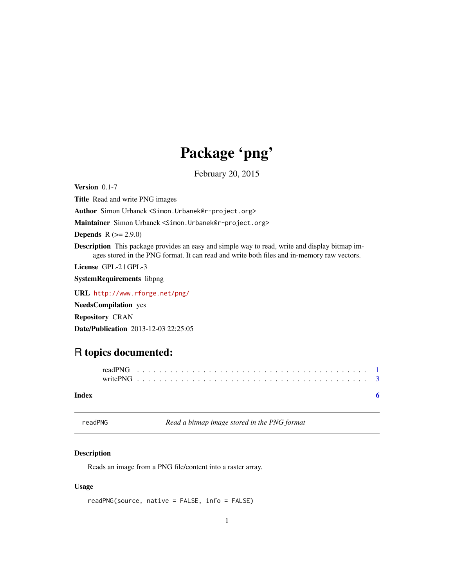## Package 'png'

February 20, 2015

<span id="page-0-1"></span><span id="page-0-0"></span>Version 0.1-7

Title Read and write PNG images

Author Simon Urbanek <Simon.Urbanek@r-project.org>

Maintainer Simon Urbanek <Simon.Urbanek@r-project.org>

**Depends**  $R (= 2.9.0)$ 

Description This package provides an easy and simple way to read, write and display bitmap images stored in the PNG format. It can read and write both files and in-memory raw vectors.

License GPL-2 | GPL-3

SystemRequirements libpng

URL <http://www.rforge.net/png/>

NeedsCompilation yes

Repository CRAN

Date/Publication 2013-12-03 22:25:05

### R topics documented:

#### **Index** [6](#page-5-0) **6**

<span id="page-0-2"></span>readPNG *Read a bitmap image stored in the PNG format*

#### Description

Reads an image from a PNG file/content into a raster array.

#### Usage

readPNG(source, native = FALSE, info = FALSE)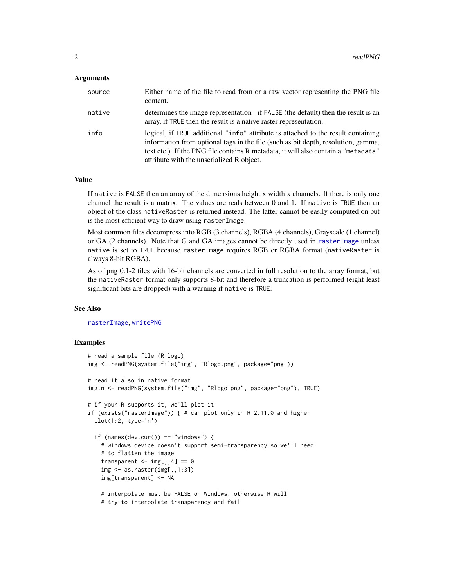#### <span id="page-1-0"></span>**Arguments**

| source | Either name of the file to read from or a raw vector representing the PNG file<br>content.                                                                                                                                                                                                                |
|--------|-----------------------------------------------------------------------------------------------------------------------------------------------------------------------------------------------------------------------------------------------------------------------------------------------------------|
| native | determines the image representation - if FALSE (the default) then the result is an<br>array, if TRUE then the result is a native raster representation.                                                                                                                                                   |
| info   | logical, if TRUE additional "info" attribute is attached to the result containing<br>information from optional tags in the file (such as bit depth, resolution, gamma,<br>text etc.). If the PNG file contains R metadata, it will also contain a "metadata"<br>attribute with the unserialized R object. |

#### Value

If native is FALSE then an array of the dimensions height x width x channels. If there is only one channel the result is a matrix. The values are reals between 0 and 1. If native is TRUE then an object of the class nativeRaster is returned instead. The latter cannot be easily computed on but is the most efficient way to draw using rasterImage.

Most common files decompress into RGB (3 channels), RGBA (4 channels), Grayscale (1 channel) or GA (2 channels). Note that G and GA images cannot be directly used in [rasterImage](#page-0-1) unless native is set to TRUE because rasterImage requires RGB or RGBA format (nativeRaster is always 8-bit RGBA).

As of png 0.1-2 files with 16-bit channels are converted in full resolution to the array format, but the nativeRaster format only supports 8-bit and therefore a truncation is performed (eight least significant bits are dropped) with a warning if native is TRUE.

#### See Also

[rasterImage](#page-0-1), [writePNG](#page-2-1)

#### Examples

```
# read a sample file (R logo)
img <- readPNG(system.file("img", "Rlogo.png", package="png"))
# read it also in native format
img.n <- readPNG(system.file("img", "Rlogo.png", package="png"), TRUE)
# if your R supports it, we'll plot it
if (exists("rasterImage")) { # can plot only in R 2.11.0 and higher
 plot(1:2, type='n')
 if (names(dev.cur()) == "windows") {
   # windows device doesn't support semi-transparency so we'll need
   # to flatten the image
   transparent \leq - img[,,4] == 0
   img \leq as.raster(img[,,1:3])
   img[transparent] <- NA
   # interpolate must be FALSE on Windows, otherwise R will
   # try to interpolate transparency and fail
```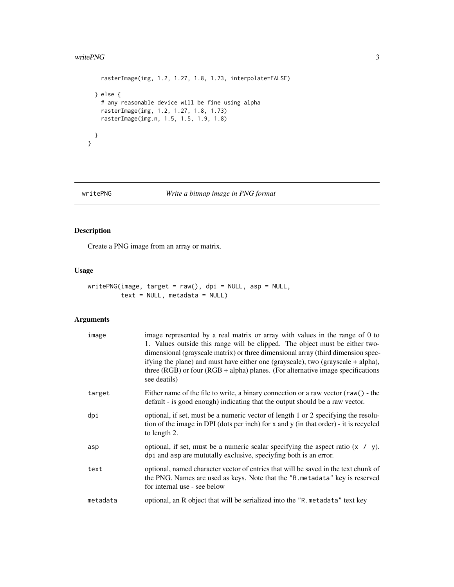#### <span id="page-2-0"></span>writePNG 3

```
rasterImage(img, 1.2, 1.27, 1.8, 1.73, interpolate=FALSE)
} else {
 # any reasonable device will be fine using alpha
 rasterImage(img, 1.2, 1.27, 1.8, 1.73)
 rasterImage(img.n, 1.5, 1.5, 1.9, 1.8)
}
```
}

#### <span id="page-2-1"></span>writePNG *Write a bitmap image in PNG format*

#### Description

Create a PNG image from an array or matrix.

#### Usage

```
writePNG(image, target = raw(), dpi = NULL, asp = NULL,
        text = NULL, median = NULL)
```
#### Arguments

| image    | image represented by a real matrix or array with values in the range of 0 to<br>1. Values outside this range will be clipped. The object must be either two-<br>dimensional (grayscale matrix) or three dimensional array (third dimension spec-<br>if ying the plane) and must have either one (grayscale), two (grayscale $+$ alpha),<br>three (RGB) or four (RGB + alpha) planes. (For alternative image specifications<br>see deatils) |
|----------|--------------------------------------------------------------------------------------------------------------------------------------------------------------------------------------------------------------------------------------------------------------------------------------------------------------------------------------------------------------------------------------------------------------------------------------------|
| target   | Either name of the file to write, a binary connection or a raw vector $(raw() - the$<br>default - is good enough) indicating that the output should be a raw vector.                                                                                                                                                                                                                                                                       |
| dpi      | optional, if set, must be a numeric vector of length 1 or 2 specifying the resolu-<br>tion of the image in DPI (dots per inch) for x and y (in that order) - it is recycled<br>to length 2.                                                                                                                                                                                                                                                |
| asp      | optional, if set, must be a numeric scalar specifying the aspect ratio $(x / y)$ .<br>dpi and asp are mututally exclusive, speciyfing both is an error.                                                                                                                                                                                                                                                                                    |
| text     | optional, named character vector of entries that will be saved in the text chunk of<br>the PNG. Names are used as keys. Note that the "R. metadata" key is reserved<br>for internal use - see below                                                                                                                                                                                                                                        |
| metadata | optional, an R object that will be serialized into the "R metadata" text key                                                                                                                                                                                                                                                                                                                                                               |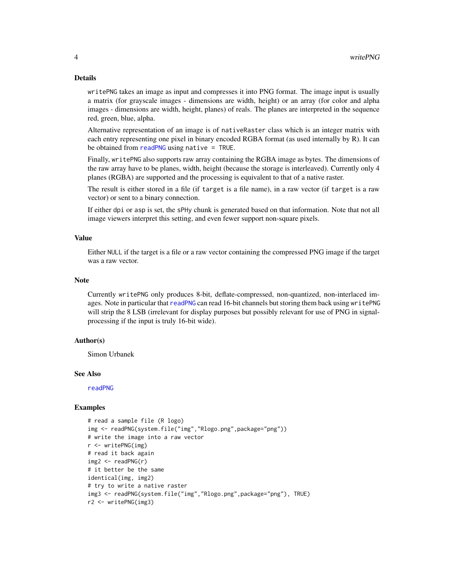#### <span id="page-3-0"></span>Details

writePNG takes an image as input and compresses it into PNG format. The image input is usually a matrix (for grayscale images - dimensions are width, height) or an array (for color and alpha images - dimensions are width, height, planes) of reals. The planes are interpreted in the sequence red, green, blue, alpha.

Alternative representation of an image is of nativeRaster class which is an integer matrix with each entry representing one pixel in binary encoded RGBA format (as used internally by R). It can be obtained from [readPNG](#page-0-2) using native = TRUE.

Finally, writePNG also supports raw array containing the RGBA image as bytes. The dimensions of the raw array have to be planes, width, height (because the storage is interleaved). Currently only 4 planes (RGBA) are supported and the processing is equivalent to that of a native raster.

The result is either stored in a file (if target is a file name), in a raw vector (if target is a raw vector) or sent to a binary connection.

If either dpi or asp is set, the sPHy chunk is generated based on that information. Note that not all image viewers interpret this setting, and even fewer support non-square pixels.

#### Value

Either NULL if the target is a file or a raw vector containing the compressed PNG image if the target was a raw vector.

#### Note

Currently writePNG only produces 8-bit, deflate-compressed, non-quantized, non-interlaced images. Note in particular that [readPNG](#page-0-2) can read 16-bit channels but storing them back using writePNG will strip the 8 LSB (irrelevant for display purposes but possibly relevant for use of PNG in signalprocessing if the input is truly 16-bit wide).

#### Author(s)

Simon Urbanek

#### See Also

[readPNG](#page-0-2)

#### Examples

```
# read a sample file (R logo)
img <- readPNG(system.file("img","Rlogo.png",package="png"))
# write the image into a raw vector
r <- writePNG(img)
# read it back again
img2 < - readPNG(r)# it better be the same
identical(img, img2)
# try to write a native raster
img3 <- readPNG(system.file("img","Rlogo.png",package="png"), TRUE)
r2 <- writePNG(img3)
```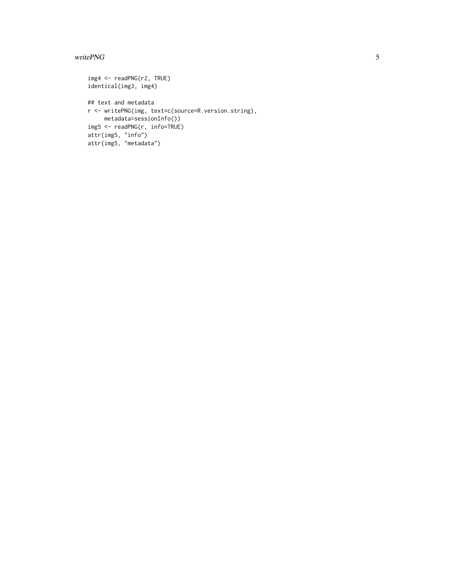#### writePNG 5

```
img4 <- readPNG(r2, TRUE)
identical(img3, img4)
## text and metadata
r <- writePNG(img, text=c(source=R.version.string),
    metadata=sessionInfo())
img5 <- readPNG(r, info=TRUE)
attr(img5, "info")
attr(img5, "metadata")
```